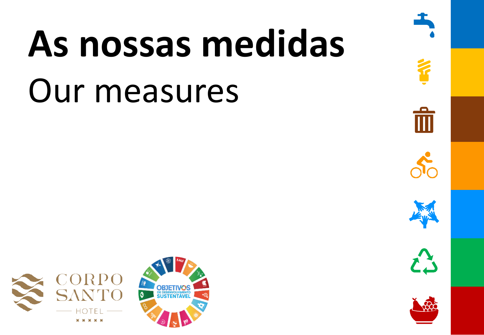# **As nossas medidas** Our measures



而









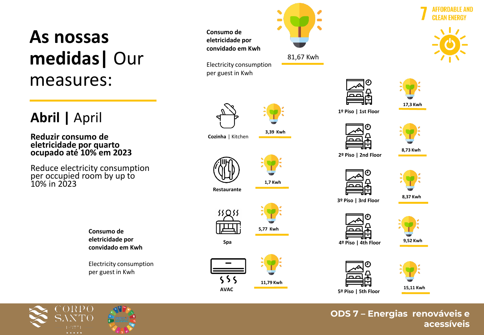## **As nossas medidas|** Our measures:

#### **Abril |** April

**Reduzir consumo de eletricidade por quarto ocupado até 10% em 2023**

Reduce electricity consumption per occupied room by up to 10% in 2023

> **Consumo de eletricidade por convidado em Kwh**

Electricity consumption per guest in Kwh



81,67 Kwh



**1º Piso | 1st Floor**





**17,3 Kwh**

**2º Piso | 2nd Floor**





**3º Piso | 3rd Floor**

**8,37 Kwh**



**9,52 Kwh 4º Piso | 4th Floor**





**ODS 7 – Energias renováveis e acessíveis**







**3,39 Kwh**

**1,7 Kwh**

**5,77 Kwh**

Electricity consumption per guest in Kwh



**Consumo de eletricidade por convidado em Kwh**





**Spa**

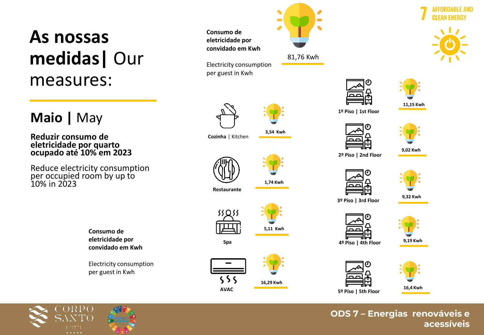## **As nossas medidas|** Our measures:

#### **Maio |** May

**Reduzir consumo de eletricidade por quarto ocupado até 10% em 2023**

Reduce electricity consumption per occupied room by up to 10% in 2023

> **Consumo de eletricidade por convidado em Kwh**

Electricity consumption per guest in Kwh



81,76 Kwh



**11,15 Kwh**

**1º Piso | 1st Floor**





**2º Piso | 2nd Floor**



**9,32 Kwh 3º Piso | 3rd Floor**





**9,19 Kwh 4º Piso | 4th Floor**





**ODS 7 – Energias renováveis e acessíveis**









**Cozinha** | Kitchen

**Consumo de eletricidade por** 

Electricity consumption per guest in Kwh



**3,54 Kwh**

**5,11 Kwh**

**Restaurante**



**Spa**



**16,29 Kwh**